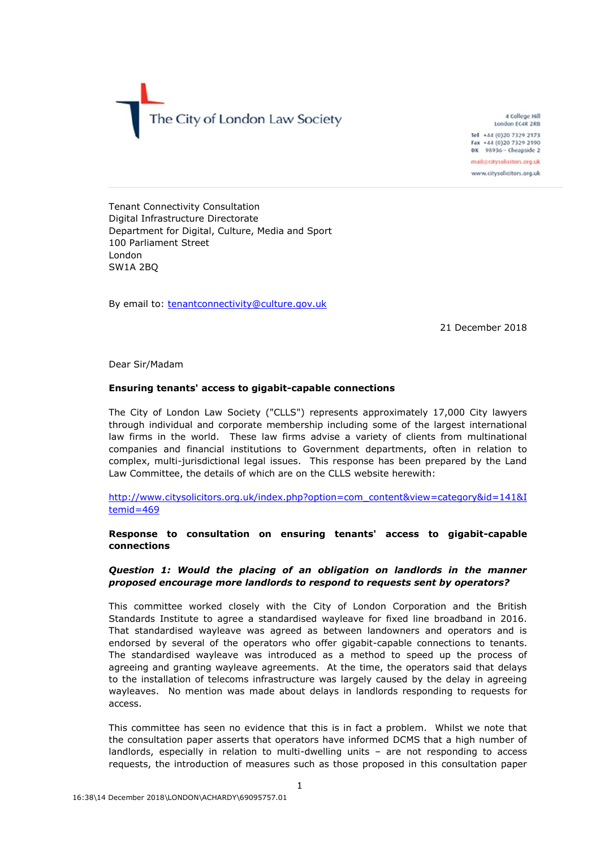

4 College Hill London EC4R 2RB Tel +44 (0)20 7329 2173 Fax +44 (0)20 7329 2190 DX 98936 - Cheapside 2 mail@citysolicitors.org.uk

www.citysolicitors.org.uk

Tenant Connectivity Consultation Digital Infrastructure Directorate Department for Digital, Culture, Media and Sport 100 Parliament Street London SW1A 2BQ

By email to: [tenantconnectivity@culture.gov.uk](mailto:tenantconnectivity@culture.gov.uk)

21 December 2018

Dear Sir/Madam

#### **Ensuring tenants' access to gigabit-capable connections**

The City of London Law Society ("CLLS") represents approximately 17,000 City lawyers through individual and corporate membership including some of the largest international law firms in the world. These law firms advise a variety of clients from multinational companies and financial institutions to Government departments, often in relation to complex, multi-jurisdictional legal issues. This response has been prepared by the Land Law Committee, the details of which are on the CLLS website herewith:

[http://www.citysolicitors.org.uk/index.php?option=com\\_content&view=category&id=141&I](http://www.citysolicitors.org.uk/index.php?option=com_content&view=category&id=141&Itemid=469) [temid=469](http://www.citysolicitors.org.uk/index.php?option=com_content&view=category&id=141&Itemid=469)

### **Response to consultation on ensuring tenants' access to gigabit-capable connections**

## *Question 1: Would the placing of an obligation on landlords in the manner proposed encourage more landlords to respond to requests sent by operators?*

This committee worked closely with the City of London Corporation and the British Standards Institute to agree a standardised wayleave for fixed line broadband in 2016. That standardised wayleave was agreed as between landowners and operators and is endorsed by several of the operators who offer gigabit-capable connections to tenants. The standardised wayleave was introduced as a method to speed up the process of agreeing and granting wayleave agreements. At the time, the operators said that delays to the installation of telecoms infrastructure was largely caused by the delay in agreeing wayleaves. No mention was made about delays in landlords responding to requests for access.

This committee has seen no evidence that this is in fact a problem. Whilst we note that the consultation paper asserts that operators have informed DCMS that a high number of landlords, especially in relation to multi-dwelling units – are not responding to access requests, the introduction of measures such as those proposed in this consultation paper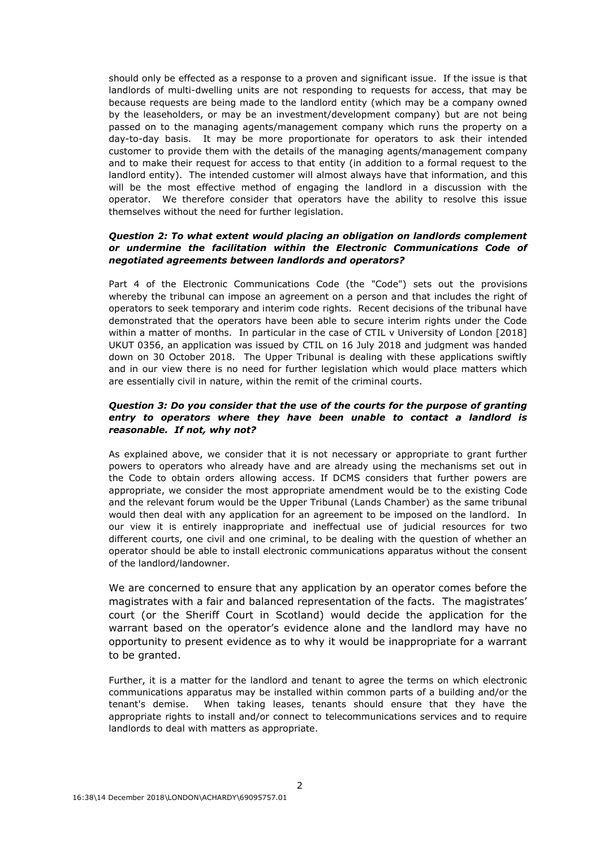should only be effected as a response to a proven and significant issue. If the issue is that landlords of multi-dwelling units are not responding to requests for access, that may be because requests are being made to the landlord entity (which may be a company owned by the leaseholders, or may be an investment/development company) but are not being passed on to the managing agents/management company which runs the property on a day-to-day basis. It may be more proportionate for operators to ask their intended customer to provide them with the details of the managing agents/management company and to make their request for access to that entity (in addition to a formal request to the landlord entity). The intended customer will almost always have that information, and this will be the most effective method of engaging the landlord in a discussion with the operator. We therefore consider that operators have the ability to resolve this issue themselves without the need for further legislation.

### *Question 2: To what extent would placing an obligation on landlords complement or undermine the facilitation within the Electronic Communications Code of negotiated agreements between landlords and operators?*

Part 4 of the Electronic Communications Code (the "Code") sets out the provisions whereby the tribunal can impose an agreement on a person and that includes the right of operators to seek temporary and interim code rights. Recent decisions of the tribunal have demonstrated that the operators have been able to secure interim rights under the Code within a matter of months. In particular in the case of CTIL v University of London [2018] UKUT 0356, an application was issued by CTIL on 16 July 2018 and judgment was handed down on 30 October 2018. The Upper Tribunal is dealing with these applications swiftly and in our view there is no need for further legislation which would place matters which are essentially civil in nature, within the remit of the criminal courts.

# *Question 3: Do you consider that the use of the courts for the purpose of granting entry to operators where they have been unable to contact a landlord is reasonable. If not, why not?*

As explained above, we consider that it is not necessary or appropriate to grant further powers to operators who already have and are already using the mechanisms set out in the Code to obtain orders allowing access. If DCMS considers that further powers are appropriate, we consider the most appropriate amendment would be to the existing Code and the relevant forum would be the Upper Tribunal (Lands Chamber) as the same tribunal would then deal with any application for an agreement to be imposed on the landlord. In our view it is entirely inappropriate and ineffectual use of judicial resources for two different courts, one civil and one criminal, to be dealing with the question of whether an operator should be able to install electronic communications apparatus without the consent of the landlord/landowner.

We are concerned to ensure that any application by an operator comes before the magistrates with a fair and balanced representation of the facts. The magistrates' court (or the Sheriff Court in Scotland) would decide the application for the warrant based on the operator's evidence alone and the landlord may have no opportunity to present evidence as to why it would be inappropriate for a warrant to be granted.

Further, it is a matter for the landlord and tenant to agree the terms on which electronic communications apparatus may be installed within common parts of a building and/or the tenant's demise. When taking leases, tenants should ensure that they have the appropriate rights to install and/or connect to telecommunications services and to require landlords to deal with matters as appropriate.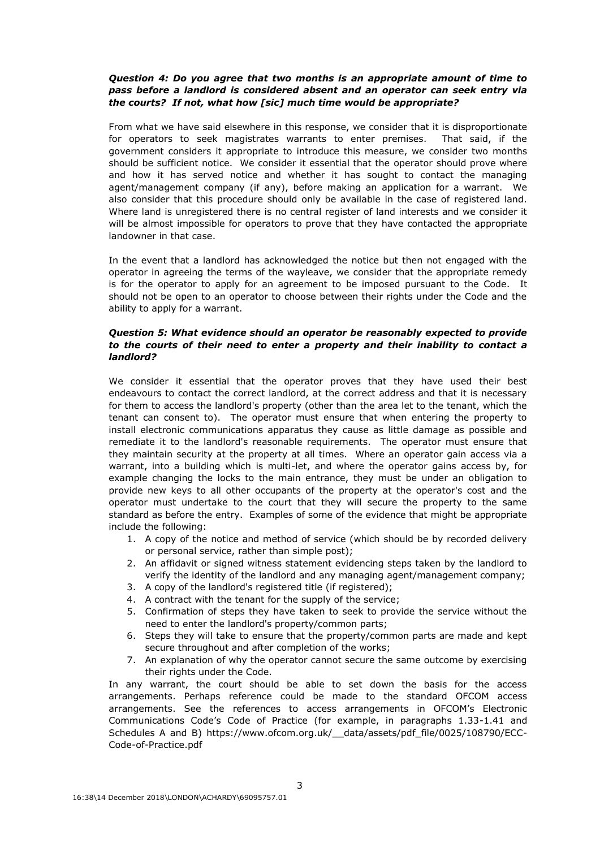## *Question 4: Do you agree that two months is an appropriate amount of time to pass before a landlord is considered absent and an operator can seek entry via the courts? If not, what how [sic] much time would be appropriate?*

From what we have said elsewhere in this response, we consider that it is disproportionate for operators to seek magistrates warrants to enter premises. That said, if the government considers it appropriate to introduce this measure, we consider two months should be sufficient notice. We consider it essential that the operator should prove where and how it has served notice and whether it has sought to contact the managing agent/management company (if any), before making an application for a warrant. We also consider that this procedure should only be available in the case of registered land. Where land is unregistered there is no central register of land interests and we consider it will be almost impossible for operators to prove that they have contacted the appropriate landowner in that case.

In the event that a landlord has acknowledged the notice but then not engaged with the operator in agreeing the terms of the wayleave, we consider that the appropriate remedy is for the operator to apply for an agreement to be imposed pursuant to the Code. It should not be open to an operator to choose between their rights under the Code and the ability to apply for a warrant.

### *Question 5: What evidence should an operator be reasonably expected to provide to the courts of their need to enter a property and their inability to contact a landlord?*

We consider it essential that the operator proves that they have used their best endeavours to contact the correct landlord, at the correct address and that it is necessary for them to access the landlord's property (other than the area let to the tenant, which the tenant can consent to). The operator must ensure that when entering the property to install electronic communications apparatus they cause as little damage as possible and remediate it to the landlord's reasonable requirements. The operator must ensure that they maintain security at the property at all times. Where an operator gain access via a warrant, into a building which is multi-let, and where the operator gains access by, for example changing the locks to the main entrance, they must be under an obligation to provide new keys to all other occupants of the property at the operator's cost and the operator must undertake to the court that they will secure the property to the same standard as before the entry. Examples of some of the evidence that might be appropriate include the following:

- 1. A copy of the notice and method of service (which should be by recorded delivery or personal service, rather than simple post);
- 2. An affidavit or signed witness statement evidencing steps taken by the landlord to verify the identity of the landlord and any managing agent/management company;
- 3. A copy of the landlord's registered title (if registered);
- 4. A contract with the tenant for the supply of the service;
- 5. Confirmation of steps they have taken to seek to provide the service without the need to enter the landlord's property/common parts;
- 6. Steps they will take to ensure that the property/common parts are made and kept secure throughout and after completion of the works;
- 7. An explanation of why the operator cannot secure the same outcome by exercising their rights under the Code.

In any warrant, the court should be able to set down the basis for the access arrangements. Perhaps reference could be made to the standard OFCOM access arrangements. See the references to access arrangements in OFCOM's Electronic Communications Code's Code of Practice (for example, in paragraphs 1.33-1.41 and Schedules A and B) [https://www.ofcom.org.uk/\\_\\_data/assets/pdf\\_file/0025/108790/ECC-](https://protect-eu.mimecast.com/s/XDqVBUo37bESz)[Code-of-Practice.pdf](https://protect-eu.mimecast.com/s/XDqVBUo37bESz)